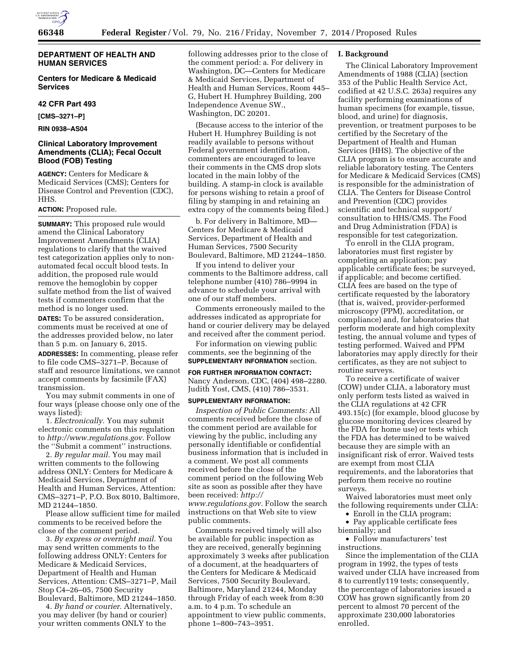

# **HUMAN SERVICES**

**Centers for Medicare & Medicaid Services** 

# **42 CFR Part 493**

**[CMS–3271–P]** 

**RIN 0938–AS04** 

# **Clinical Laboratory Improvement Amendments (CLIA); Fecal Occult Blood (FOB) Testing**

**AGENCY:** Centers for Medicare & Medicaid Services (CMS); Centers for Disease Control and Prevention (CDC), HHS.

## **ACTION:** Proposed rule.

**SUMMARY:** This proposed rule would amend the Clinical Laboratory Improvement Amendments (CLIA) regulations to clarify that the waived test categorization applies only to nonautomated fecal occult blood tests. In addition, the proposed rule would remove the hemoglobin by copper sulfate method from the list of waived tests if commenters confirm that the method is no longer used.

**DATES:** To be assured consideration, comments must be received at one of the addresses provided below, no later than 5 p.m. on January 6, 2015.

**ADDRESSES:** In commenting, please refer to file code CMS–3271–P. Because of staff and resource limitations, we cannot accept comments by facsimile (FAX) transmission.

You may submit comments in one of four ways (please choose only one of the ways listed):

1. *Electronically.* You may submit electronic comments on this regulation to *[http://www.regulations.gov.](http://www.regulations.gov)* Follow the ''Submit a comment'' instructions.

2. *By regular mail.* You may mail written comments to the following address ONLY: Centers for Medicare & Medicaid Services, Department of Health and Human Services, Attention: CMS–3271–P, P.O. Box 8010, Baltimore, MD 21244–1850.

Please allow sufficient time for mailed comments to be received before the close of the comment period.

3. *By express or overnight mail.* You may send written comments to the following address ONLY: Centers for Medicare & Medicaid Services, Department of Health and Human Services, Attention: CMS–3271–P, Mail Stop C4–26–05, 7500 Security Boulevard, Baltimore, MD 21244–1850.

4. *By hand or courier.* Alternatively, you may deliver (by hand or courier) your written comments ONLY to the

following addresses prior to the close of the comment period: a. For delivery in Washington, DC—Centers for Medicare & Medicaid Services, Department of Health and Human Services, Room 445– G, Hubert H. Humphrey Building, 200 Independence Avenue SW., Washington, DC 20201.

(Because access to the interior of the Hubert H. Humphrey Building is not readily available to persons without Federal government identification, commenters are encouraged to leave their comments in the CMS drop slots located in the main lobby of the building. A stamp-in clock is available for persons wishing to retain a proof of filing by stamping in and retaining an extra copy of the comments being filed.)

b. For delivery in Baltimore, MD— Centers for Medicare & Medicaid Services, Department of Health and Human Services, 7500 Security Boulevard, Baltimore, MD 21244–1850.

If you intend to deliver your comments to the Baltimore address, call telephone number (410) 786–9994 in advance to schedule your arrival with one of our staff members.

Comments erroneously mailed to the addresses indicated as appropriate for hand or courier delivery may be delayed and received after the comment period.

For information on viewing public comments, see the beginning of the **SUPPLEMENTARY INFORMATION** section.

## **FOR FURTHER INFORMATION CONTACT:**

Nancy Anderson, CDC, (404) 498–2280. Judith Yost, CMS, (410) 786–3531.

## **SUPPLEMENTARY INFORMATION:**

*Inspection of Public Comments:* All comments received before the close of the comment period are available for viewing by the public, including any personally identifiable or confidential business information that is included in a comment. We post all comments received before the close of the comment period on the following Web site as soon as possible after they have been received: *[http://](http://www.regulations.gov) [www.regulations.gov.](http://www.regulations.gov)* Follow the search instructions on that Web site to view public comments.

Comments received timely will also be available for public inspection as they are received, generally beginning approximately 3 weeks after publication of a document, at the headquarters of the Centers for Medicare & Medicaid Services, 7500 Security Boulevard, Baltimore, Maryland 21244, Monday through Friday of each week from 8:30 a.m. to 4 p.m. To schedule an appointment to view public comments, phone 1–800–743–3951.

## **I. Background**

The Clinical Laboratory Improvement Amendments of 1988 (CLIA) (section 353 of the Public Health Service Act, codified at 42 U.S.C. 263a) requires any facility performing examinations of human specimens (for example, tissue, blood, and urine) for diagnosis, prevention, or treatment purposes to be certified by the Secretary of the Department of Health and Human Services (HHS). The objective of the CLIA program is to ensure accurate and reliable laboratory testing. The Centers for Medicare & Medicaid Services (CMS) is responsible for the administration of CLIA. The Centers for Disease Control and Prevention (CDC) provides scientific and technical support/ consultation to HHS/CMS. The Food and Drug Administration (FDA) is responsible for test categorization.

To enroll in the CLIA program, laboratories must first register by completing an application; pay applicable certificate fees; be surveyed, if applicable; and become certified. CLIA fees are based on the type of certificate requested by the laboratory (that is, waived, provider-performed microscopy (PPM), accreditation, or compliance) and, for laboratories that perform moderate and high complexity testing, the annual volume and types of testing performed. Waived and PPM laboratories may apply directly for their certificates, as they are not subject to routine surveys.

To receive a certificate of waiver (COW) under CLIA, a laboratory must only perform tests listed as waived in the CLIA regulations at 42 CFR 493.15(c) (for example, blood glucose by glucose monitoring devices cleared by the FDA for home use) or tests which the FDA has determined to be waived because they are simple with an insignificant risk of error. Waived tests are exempt from most CLIA requirements, and the laboratories that perform them receive no routine surveys.

Waived laboratories must meet only the following requirements under CLIA:

• Enroll in the CLIA program;

• Pay applicable certificate fees biennially; and

• Follow manufacturers' test instructions.

Since the implementation of the CLIA program in 1992, the types of tests waived under CLIA have increased from 8 to currently119 tests; consequently, the percentage of laboratories issued a COW has grown significantly from 20 percent to almost 70 percent of the approximate 230,000 laboratories enrolled.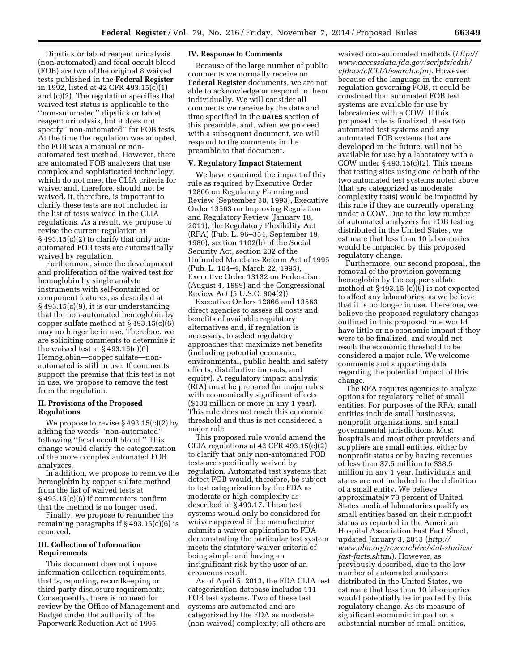Dipstick or tablet reagent urinalysis (non-automated) and fecal occult blood (FOB) are two of the original 8 waived tests published in the **Federal Register**  in 1992, listed at 42 CFR 493.15(c)(1) and (c)(2). The regulation specifies that waived test status is applicable to the ''non-automated'' dipstick or tablet reagent urinalysis, but it does not specify ''non-automated'' for FOB tests. At the time the regulation was adopted, the FOB was a manual or nonautomated test method. However, there are automated FOB analyzers that use complex and sophisticated technology, which do not meet the CLIA criteria for waiver and, therefore, should not be waived. It, therefore, is important to clarify these tests are not included in the list of tests waived in the CLIA regulations. As a result, we propose to revise the current regulation at  $\S$  493.15(c)(2) to clarify that only nonautomated FOB tests are automatically waived by regulation.

Furthermore, since the development and proliferation of the waived test for hemoglobin by single analyte instruments with self-contained or component features, as described at § 493.15(c)(9), it is our understanding that the non-automated hemoglobin by copper sulfate method at § 493.15(c)(6) may no longer be in use. Therefore, we are soliciting comments to determine if the waived test at  $\S$  493.15(c)(6) Hemoglobin—copper sulfate—nonautomated is still in use. If comments support the premise that this test is not in use, we propose to remove the test from the regulation.

## **II. Provisions of the Proposed Regulations**

We propose to revise  $\S 493.15(c)(2)$  by adding the words ''non-automated'' following ''fecal occult blood.'' This change would clarify the categorization of the more complex automated FOB analyzers.

In addition, we propose to remove the hemoglobin by copper sulfate method from the list of waived tests at § 493.15(c)(6) if commenters confirm that the method is no longer used.

Finally, we propose to renumber the remaining paragraphs if  $\S 493.15(c)(6)$  is removed.

## **III. Collection of Information Requirements**

This document does not impose information collection requirements, that is, reporting, recordkeeping or third-party disclosure requirements. Consequently, there is no need for review by the Office of Management and Budget under the authority of the Paperwork Reduction Act of 1995.

#### **IV. Response to Comments**

Because of the large number of public comments we normally receive on **Federal Register** documents, we are not able to acknowledge or respond to them individually. We will consider all comments we receive by the date and time specified in the **DATES** section of this preamble, and, when we proceed with a subsequent document, we will respond to the comments in the preamble to that document.

## **V. Regulatory Impact Statement**

We have examined the impact of this rule as required by Executive Order 12866 on Regulatory Planning and Review (September 30, 1993), Executive Order 13563 on Improving Regulation and Regulatory Review (January 18, 2011), the Regulatory Flexibility Act (RFA) (Pub. L. 96–354, September 19, 1980), section 1102(b) of the Social Security Act, section 202 of the Unfunded Mandates Reform Act of 1995 (Pub. L. 104–4, March 22, 1995), Executive Order 13132 on Federalism (August 4, 1999) and the Congressional Review Act (5 U.S.C. 804(2)).

Executive Orders 12866 and 13563 direct agencies to assess all costs and benefits of available regulatory alternatives and, if regulation is necessary, to select regulatory approaches that maximize net benefits (including potential economic, environmental, public health and safety effects, distributive impacts, and equity). A regulatory impact analysis (RIA) must be prepared for major rules with economically significant effects (\$100 million or more in any 1 year). This rule does not reach this economic threshold and thus is not considered a major rule.

This proposed rule would amend the CLIA regulations at 42 CFR 493.15(c)(2) to clarify that only non-automated FOB tests are specifically waived by regulation. Automated test systems that detect FOB would, therefore, be subject to test categorization by the FDA as moderate or high complexity as described in § 493.17. These test systems would only be considered for waiver approval if the manufacturer submits a waiver application to FDA demonstrating the particular test system meets the statutory waiver criteria of being simple and having an insignificant risk by the user of an erroneous result.

As of April 5, 2013, the FDA CLIA test categorization database includes 111 FOB test systems. Two of these test systems are automated and are categorized by the FDA as moderate (non-waived) complexity; all others are

waived non-automated methods (*[http://](http://www.accessdata.fda.gov/scripts/cdrh/cfdocs/cfCLIA/search.cfm)  [www.accessdata.fda.gov/scripts/cdrh/](http://www.accessdata.fda.gov/scripts/cdrh/cfdocs/cfCLIA/search.cfm) [cfdocs/cfCLIA/search.cfm](http://www.accessdata.fda.gov/scripts/cdrh/cfdocs/cfCLIA/search.cfm)*). However, because of the language in the current regulation governing FOB, it could be construed that automated FOB test systems are available for use by laboratories with a COW. If this proposed rule is finalized, these two automated test systems and any automated FOB systems that are developed in the future, will not be available for use by a laboratory with a COW under  $\S$  493.15(c)(2). This means that testing sites using one or both of the two automated test systems noted above (that are categorized as moderate complexity tests) would be impacted by this rule if they are currently operating under a COW. Due to the low number of automated analyzers for FOB testing distributed in the United States, we estimate that less than 10 laboratories would be impacted by this proposed regulatory change.

Furthermore, our second proposal, the removal of the provision governing hemoglobin by the copper sulfate method at § 493.15 (c)(6) is not expected to affect any laboratories, as we believe that it is no longer in use. Therefore, we believe the proposed regulatory changes outlined in this proposed rule would have little or no economic impact if they were to be finalized, and would not reach the economic threshold to be considered a major rule. We welcome comments and supporting data regarding the potential impact of this change.

The RFA requires agencies to analyze options for regulatory relief of small entities. For purposes of the RFA, small entities include small businesses, nonprofit organizations, and small governmental jurisdictions. Most hospitals and most other providers and suppliers are small entities, either by nonprofit status or by having revenues of less than \$7.5 million to \$38.5 million in any 1 year. Individuals and states are not included in the definition of a small entity. We believe approximately 73 percent of United States medical laboratories qualify as small entities based on their nonprofit status as reported in the American Hospital Association Fast Fact Sheet, updated January 3, 2013 (*[http://](http://www.aha.org/research/rc/stat-studies/fast-facts.shtml) [www.aha.org/research/rc/stat-studies/](http://www.aha.org/research/rc/stat-studies/fast-facts.shtml) [fast-facts.shtml](http://www.aha.org/research/rc/stat-studies/fast-facts.shtml)*). However, as previously described, due to the low number of automated analyzers distributed in the United States, we estimate that less than 10 laboratories would potentially be impacted by this regulatory change. As its measure of significant economic impact on a substantial number of small entities,